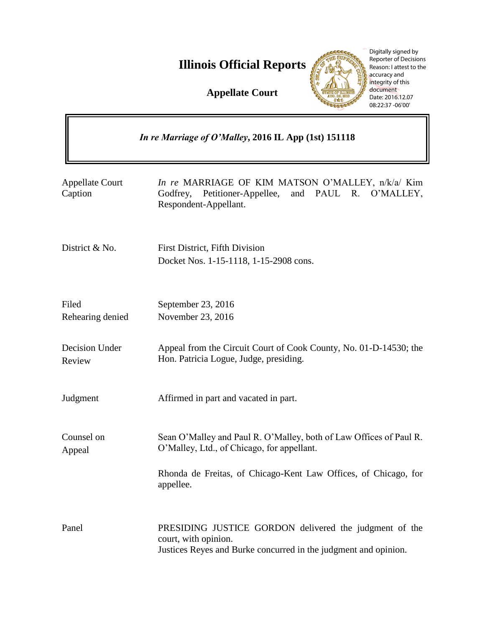**Illinois Official Reports** 

**Appellate Court**



Digitally signed by Reporter of Decisions Reason: I attest to the accuracy and integrity of this document Date: 2016.12.07 08:22:37 -06'00'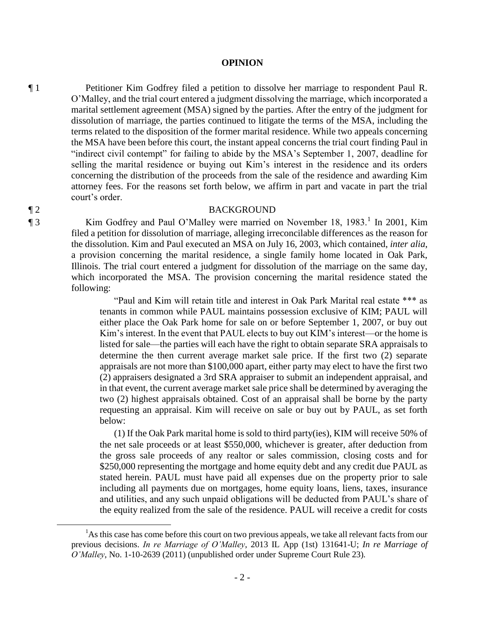### **OPINION**

¶ 1 Petitioner Kim Godfrey filed a petition to dissolve her marriage to respondent Paul R. O'Malley, and the trial court entered a judgment dissolving the marriage, which incorporated a marital settlement agreement (MSA) signed by the parties. After the entry of the judgment for dissolution of marriage, the parties continued to litigate the terms of the MSA, including the terms related to the disposition of the former marital residence. While two appeals concerning the MSA have been before this court, the instant appeal concerns the trial court finding Paul in "indirect civil contempt" for failing to abide by the MSA's September 1, 2007, deadline for selling the marital residence or buying out Kim's interest in the residence and its orders concerning the distribution of the proceeds from the sale of the residence and awarding Kim attorney fees. For the reasons set forth below, we affirm in part and vacate in part the trial court's order.

### ¶ 2 BACKGROUND

¶ 3 Kim Godfrey and Paul O'Malley were married on November 18, 1983.<sup>1</sup> In 2001, Kim filed a petition for dissolution of marriage, alleging irreconcilable differences as the reason for the dissolution. Kim and Paul executed an MSA on July 16, 2003, which contained, *inter alia*, a provision concerning the marital residence, a single family home located in Oak Park, Illinois. The trial court entered a judgment for dissolution of the marriage on the same day, which incorporated the MSA. The provision concerning the marital residence stated the following:

> "Paul and Kim will retain title and interest in Oak Park Marital real estate \*\*\* as tenants in common while PAUL maintains possession exclusive of KIM; PAUL will either place the Oak Park home for sale on or before September 1, 2007, or buy out Kim's interest. In the event that PAUL elects to buy out KIM's interest—or the home is listed for sale—the parties will each have the right to obtain separate SRA appraisals to determine the then current average market sale price. If the first two (2) separate appraisals are not more than \$100,000 apart, either party may elect to have the first two (2) appraisers designated a 3rd SRA appraiser to submit an independent appraisal, and in that event, the current average market sale price shall be determined by averaging the two (2) highest appraisals obtained. Cost of an appraisal shall be borne by the party requesting an appraisal. Kim will receive on sale or buy out by PAUL, as set forth below:

> (1) If the Oak Park marital home is sold to third party(ies), KIM will receive 50% of the net sale proceeds or at least \$550,000, whichever is greater, after deduction from the gross sale proceeds of any realtor or sales commission, closing costs and for \$250,000 representing the mortgage and home equity debt and any credit due PAUL as stated herein. PAUL must have paid all expenses due on the property prior to sale including all payments due on mortgages, home equity loans, liens, taxes, insurance and utilities, and any such unpaid obligations will be deducted from PAUL's share of the equity realized from the sale of the residence. PAUL will receive a credit for costs

 $\overline{a}$ 

<sup>&</sup>lt;sup>1</sup>As this case has come before this court on two previous appeals, we take all relevant facts from our previous decisions. *In re Marriage of O'Malley*, 2013 IL App (1st) 131641-U; *In re Marriage of O'Malley*, No. 1-10-2639 (2011) (unpublished order under Supreme Court Rule 23)*.*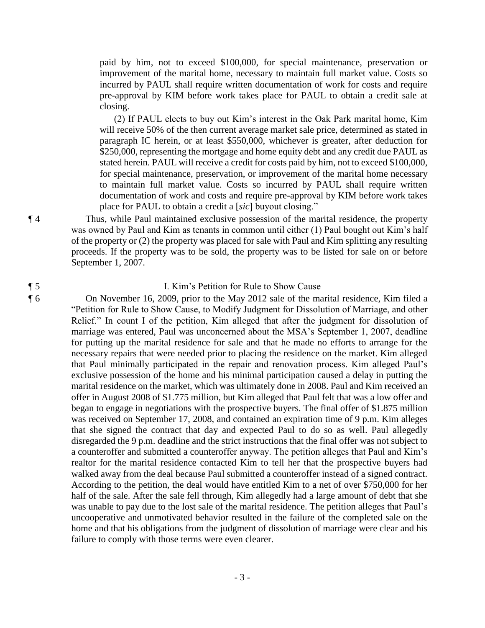paid by him, not to exceed \$100,000, for special maintenance, preservation or improvement of the marital home, necessary to maintain full market value. Costs so incurred by PAUL shall require written documentation of work for costs and require pre-approval by KIM before work takes place for PAUL to obtain a credit sale at closing.

(2) If PAUL elects to buy out Kim's interest in the Oak Park marital home, Kim will receive 50% of the then current average market sale price, determined as stated in paragraph IC herein, or at least \$550,000, whichever is greater, after deduction for \$250,000, representing the mortgage and home equity debt and any credit due PAUL as stated herein. PAUL will receive a credit for costs paid by him, not to exceed \$100,000, for special maintenance, preservation, or improvement of the marital home necessary to maintain full market value. Costs so incurred by PAUL shall require written documentation of work and costs and require pre-approval by KIM before work takes place for PAUL to obtain a credit a [*sic*] buyout closing."

¶ 4 Thus, while Paul maintained exclusive possession of the marital residence, the property was owned by Paul and Kim as tenants in common until either (1) Paul bought out Kim's half of the property or (2) the property was placed for sale with Paul and Kim splitting any resulting proceeds. If the property was to be sold, the property was to be listed for sale on or before September 1, 2007.

# ¶ 5 I. Kim's Petition for Rule to Show Cause

¶ 6 On November 16, 2009, prior to the May 2012 sale of the marital residence, Kim filed a "Petition for Rule to Show Cause, to Modify Judgment for Dissolution of Marriage, and other Relief." In count I of the petition, Kim alleged that after the judgment for dissolution of marriage was entered, Paul was unconcerned about the MSA's September 1, 2007, deadline for putting up the marital residence for sale and that he made no efforts to arrange for the necessary repairs that were needed prior to placing the residence on the market. Kim alleged that Paul minimally participated in the repair and renovation process. Kim alleged Paul's exclusive possession of the home and his minimal participation caused a delay in putting the marital residence on the market, which was ultimately done in 2008. Paul and Kim received an offer in August 2008 of \$1.775 million, but Kim alleged that Paul felt that was a low offer and began to engage in negotiations with the prospective buyers. The final offer of \$1.875 million was received on September 17, 2008, and contained an expiration time of 9 p.m. Kim alleges that she signed the contract that day and expected Paul to do so as well. Paul allegedly disregarded the 9 p.m. deadline and the strict instructions that the final offer was not subject to a counteroffer and submitted a counteroffer anyway. The petition alleges that Paul and Kim's realtor for the marital residence contacted Kim to tell her that the prospective buyers had walked away from the deal because Paul submitted a counteroffer instead of a signed contract. According to the petition, the deal would have entitled Kim to a net of over \$750,000 for her half of the sale. After the sale fell through, Kim allegedly had a large amount of debt that she was unable to pay due to the lost sale of the marital residence. The petition alleges that Paul's uncooperative and unmotivated behavior resulted in the failure of the completed sale on the home and that his obligations from the judgment of dissolution of marriage were clear and his failure to comply with those terms were even clearer.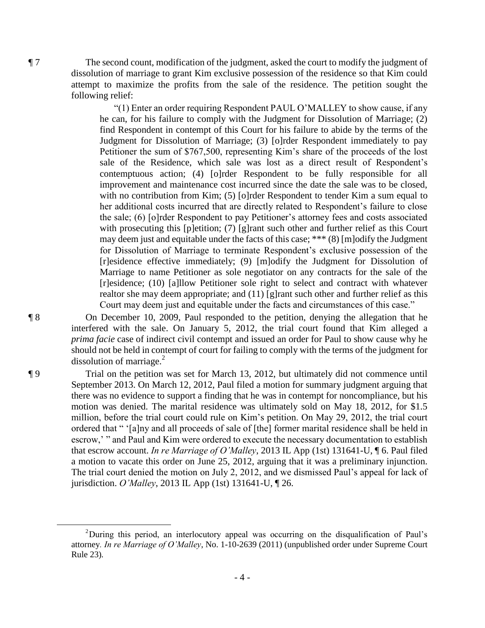¶ 7 The second count, modification of the judgment, asked the court to modify the judgment of dissolution of marriage to grant Kim exclusive possession of the residence so that Kim could attempt to maximize the profits from the sale of the residence. The petition sought the following relief:

> "(1) Enter an order requiring Respondent PAUL O'MALLEY to show cause, if any he can, for his failure to comply with the Judgment for Dissolution of Marriage; (2) find Respondent in contempt of this Court for his failure to abide by the terms of the Judgment for Dissolution of Marriage; (3) [o]rder Respondent immediately to pay Petitioner the sum of \$767,500, representing Kim's share of the proceeds of the lost sale of the Residence, which sale was lost as a direct result of Respondent's contemptuous action; (4) [o]rder Respondent to be fully responsible for all improvement and maintenance cost incurred since the date the sale was to be closed, with no contribution from Kim; (5) [o]rder Respondent to tender Kim a sum equal to her additional costs incurred that are directly related to Respondent's failure to close the sale; (6) [o]rder Respondent to pay Petitioner's attorney fees and costs associated with prosecuting this [p]etition; (7) [g]rant such other and further relief as this Court may deem just and equitable under the facts of this case; \*\*\* (8) [m]odify the Judgment for Dissolution of Marriage to terminate Respondent's exclusive possession of the [r]esidence effective immediately; (9) [m]odify the Judgment for Dissolution of Marriage to name Petitioner as sole negotiator on any contracts for the sale of the [r]esidence; (10) [a]llow Petitioner sole right to select and contract with whatever realtor she may deem appropriate; and (11) [g]rant such other and further relief as this Court may deem just and equitable under the facts and circumstances of this case."

¶ 8 On December 10, 2009, Paul responded to the petition, denying the allegation that he interfered with the sale. On January 5, 2012, the trial court found that Kim alleged a *prima facie* case of indirect civil contempt and issued an order for Paul to show cause why he should not be held in contempt of court for failing to comply with the terms of the judgment for dissolution of marriage. $^{2}$ 

¶ 9 Trial on the petition was set for March 13, 2012, but ultimately did not commence until September 2013. On March 12, 2012, Paul filed a motion for summary judgment arguing that there was no evidence to support a finding that he was in contempt for noncompliance, but his motion was denied. The marital residence was ultimately sold on May 18, 2012, for \$1.5 million, before the trial court could rule on Kim's petition. On May 29, 2012, the trial court ordered that " '[a]ny and all proceeds of sale of [the] former marital residence shall be held in escrow,' " and Paul and Kim were ordered to execute the necessary documentation to establish that escrow account. *In re Marriage of O'Malley*, 2013 IL App (1st) 131641-U, ¶ 6. Paul filed a motion to vacate this order on June 25, 2012, arguing that it was a preliminary injunction. The trial court denied the motion on July 2, 2012, and we dismissed Paul's appeal for lack of jurisdiction. *O'Malley*, 2013 IL App (1st) 131641-U, ¶ 26.

 $\overline{a}$ 

<sup>2</sup>During this period, an interlocutory appeal was occurring on the disqualification of Paul's attorney*. In re Marriage of O'Malley*, No. 1-10-2639 (2011) (unpublished order under Supreme Court Rule 23)*.*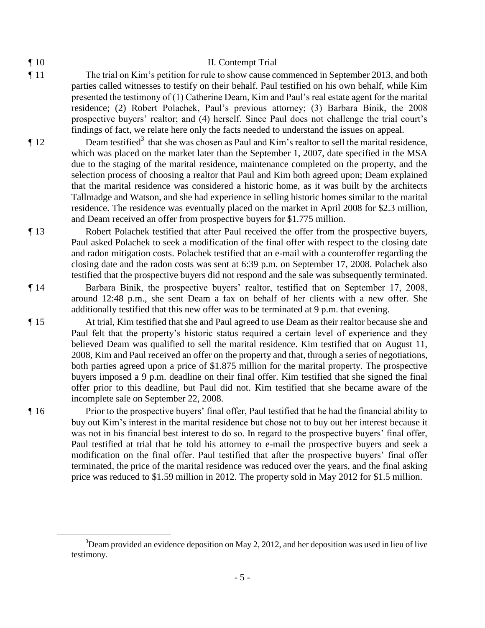$\overline{a}$ 

# ¶ 10 II. Contempt Trial

- ¶ 11 The trial on Kim's petition for rule to show cause commenced in September 2013, and both parties called witnesses to testify on their behalf. Paul testified on his own behalf, while Kim presented the testimony of (1) Catherine Deam, Kim and Paul's real estate agent for the marital residence; (2) Robert Polachek, Paul's previous attorney; (3) Barbara Binik, the 2008 prospective buyers' realtor; and (4) herself. Since Paul does not challenge the trial court's findings of fact, we relate here only the facts needed to understand the issues on appeal.
- $\P$  12 Deam testified<sup>3</sup> that she was chosen as Paul and Kim's realtor to sell the marital residence, which was placed on the market later than the September 1, 2007, date specified in the MSA due to the staging of the marital residence, maintenance completed on the property, and the selection process of choosing a realtor that Paul and Kim both agreed upon; Deam explained that the marital residence was considered a historic home, as it was built by the architects Tallmadge and Watson, and she had experience in selling historic homes similar to the marital residence. The residence was eventually placed on the market in April 2008 for \$2.3 million, and Deam received an offer from prospective buyers for \$1.775 million.
- ¶ 13 Robert Polachek testified that after Paul received the offer from the prospective buyers, Paul asked Polachek to seek a modification of the final offer with respect to the closing date and radon mitigation costs. Polachek testified that an e-mail with a counteroffer regarding the closing date and the radon costs was sent at 6:39 p.m. on September 17, 2008. Polachek also testified that the prospective buyers did not respond and the sale was subsequently terminated.
- ¶ 14 Barbara Binik, the prospective buyers' realtor, testified that on September 17, 2008, around 12:48 p.m., she sent Deam a fax on behalf of her clients with a new offer. She additionally testified that this new offer was to be terminated at 9 p.m. that evening.
- ¶ 15 At trial, Kim testified that she and Paul agreed to use Deam as their realtor because she and Paul felt that the property's historic status required a certain level of experience and they believed Deam was qualified to sell the marital residence. Kim testified that on August 11, 2008, Kim and Paul received an offer on the property and that, through a series of negotiations, both parties agreed upon a price of \$1.875 million for the marital property. The prospective buyers imposed a 9 p.m. deadline on their final offer. Kim testified that she signed the final offer prior to this deadline, but Paul did not. Kim testified that she became aware of the incomplete sale on September 22, 2008.
- ¶ 16 Prior to the prospective buyers' final offer, Paul testified that he had the financial ability to buy out Kim's interest in the marital residence but chose not to buy out her interest because it was not in his financial best interest to do so. In regard to the prospective buyers' final offer, Paul testified at trial that he told his attorney to e-mail the prospective buyers and seek a modification on the final offer. Paul testified that after the prospective buyers' final offer terminated, the price of the marital residence was reduced over the years, and the final asking price was reduced to \$1.59 million in 2012. The property sold in May 2012 for \$1.5 million.

 $3$ Deam provided an evidence deposition on May 2, 2012, and her deposition was used in lieu of live testimony.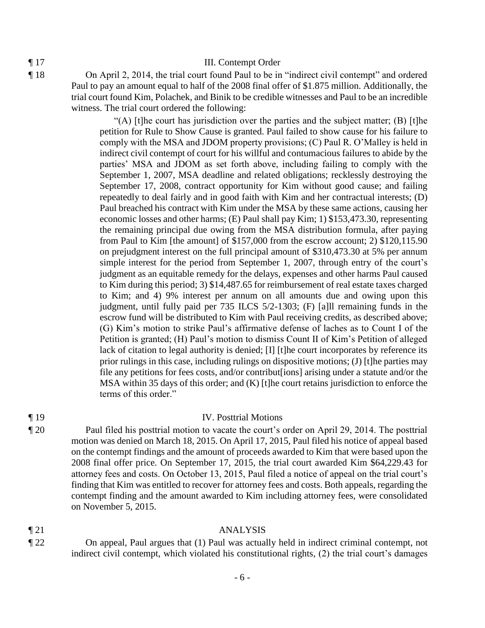### ¶ 17 III. Contempt Order

¶ 18 On April 2, 2014, the trial court found Paul to be in "indirect civil contempt" and ordered Paul to pay an amount equal to half of the 2008 final offer of \$1.875 million. Additionally, the trial court found Kim, Polachek, and Binik to be credible witnesses and Paul to be an incredible witness. The trial court ordered the following:

> "(A) [t]he court has jurisdiction over the parties and the subject matter; (B) [t]he petition for Rule to Show Cause is granted. Paul failed to show cause for his failure to comply with the MSA and JDOM property provisions; (C) Paul R. O'Malley is held in indirect civil contempt of court for his willful and contumacious failures to abide by the parties' MSA and JDOM as set forth above, including failing to comply with the September 1, 2007, MSA deadline and related obligations; recklessly destroying the September 17, 2008, contract opportunity for Kim without good cause; and failing repeatedly to deal fairly and in good faith with Kim and her contractual interests; (D) Paul breached his contract with Kim under the MSA by these same actions, causing her economic losses and other harms; (E) Paul shall pay Kim; 1) \$153,473.30, representing the remaining principal due owing from the MSA distribution formula, after paying from Paul to Kim [the amount] of \$157,000 from the escrow account; 2) \$120,115.90 on prejudgment interest on the full principal amount of \$310,473.30 at 5% per annum simple interest for the period from September 1, 2007, through entry of the court's judgment as an equitable remedy for the delays, expenses and other harms Paul caused to Kim during this period; 3) \$14,487.65 for reimbursement of real estate taxes charged to Kim; and 4) 9% interest per annum on all amounts due and owing upon this judgment, until fully paid per 735 ILCS 5/2-1303; (F) [a]ll remaining funds in the escrow fund will be distributed to Kim with Paul receiving credits, as described above; (G) Kim's motion to strike Paul's affirmative defense of laches as to Count I of the Petition is granted; (H) Paul's motion to dismiss Count II of Kim's Petition of alleged lack of citation to legal authority is denied; [I] [t]he court incorporates by reference its prior rulings in this case, including rulings on dispositive motions; (J) [t]he parties may file any petitions for fees costs, and/or contribut[ions] arising under a statute and/or the MSA within 35 days of this order; and (K) [t]he court retains jurisdiction to enforce the terms of this order."

# ¶ 19 IV. Posttrial Motions

¶ 20 Paul filed his posttrial motion to vacate the court's order on April 29, 2014. The posttrial motion was denied on March 18, 2015. On April 17, 2015, Paul filed his notice of appeal based on the contempt findings and the amount of proceeds awarded to Kim that were based upon the 2008 final offer price. On September 17, 2015, the trial court awarded Kim \$64,229.43 for attorney fees and costs. On October 13, 2015, Paul filed a notice of appeal on the trial court's finding that Kim was entitled to recover for attorney fees and costs. Both appeals, regarding the contempt finding and the amount awarded to Kim including attorney fees, were consolidated on November 5, 2015.

- ¶ 21 ANALYSIS
- ¶ 22 On appeal, Paul argues that (1) Paul was actually held in indirect criminal contempt, not indirect civil contempt, which violated his constitutional rights, (2) the trial court's damages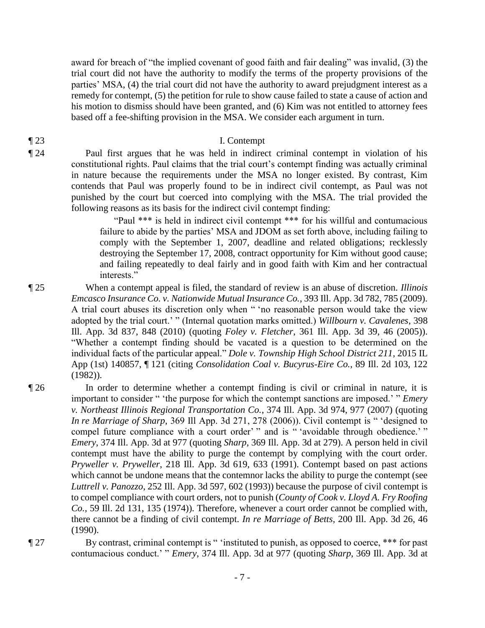award for breach of "the implied covenant of good faith and fair dealing" was invalid, (3) the trial court did not have the authority to modify the terms of the property provisions of the parties' MSA, (4) the trial court did not have the authority to award prejudgment interest as a remedy for contempt, (5) the petition for rule to show cause failed to state a cause of action and his motion to dismiss should have been granted, and (6) Kim was not entitled to attorney fees based off a fee-shifting provision in the MSA. We consider each argument in turn.

### ¶ 23 I. Contempt

¶ 24 Paul first argues that he was held in indirect criminal contempt in violation of his constitutional rights. Paul claims that the trial court's contempt finding was actually criminal in nature because the requirements under the MSA no longer existed. By contrast, Kim contends that Paul was properly found to be in indirect civil contempt, as Paul was not punished by the court but coerced into complying with the MSA. The trial provided the following reasons as its basis for the indirect civil contempt finding:

"Paul \*\*\* is held in indirect civil contempt \*\*\* for his willful and contumacious failure to abide by the parties' MSA and JDOM as set forth above, including failing to comply with the September 1, 2007, deadline and related obligations; recklessly destroying the September 17, 2008, contract opportunity for Kim without good cause; and failing repeatedly to deal fairly and in good faith with Kim and her contractual interests."

¶ 25 When a contempt appeal is filed, the standard of review is an abuse of discretion. *Illinois Emcasco Insurance Co. v. Nationwide Mutual Insurance Co.*, 393 Ill. App. 3d 782, 785 (2009). A trial court abuses its discretion only when " 'no reasonable person would take the view adopted by the trial court.' " (Internal quotation marks omitted.) *Willbourn v. Cavalenes*, 398 Ill. App. 3d 837, 848 (2010) (quoting *Foley v. Fletcher*, 361 Ill. App. 3d 39, 46 (2005)). "Whether a contempt finding should be vacated is a question to be determined on the individual facts of the particular appeal." *Dole v. Township High School District 211*, 2015 IL App (1st) 140857, ¶ 121 (citing *Consolidation Coal v. Bucyrus-Eire Co.*, 89 Ill. 2d 103, 122 (1982)).

- ¶ 26 In order to determine whether a contempt finding is civil or criminal in nature, it is important to consider " 'the purpose for which the contempt sanctions are imposed.' " *Emery v. Northeast Illinois Regional Transportation Co.*, 374 Ill. App. 3d 974, 977 (2007) (quoting *In re Marriage of Sharp*, 369 Ill App. 3d 271, 278 (2006)). Civil contempt is " 'designed to compel future compliance with a court order' " and is " 'avoidable through obedience.' " *Emery*, 374 Ill. App. 3d at 977 (quoting *Sharp*, 369 Ill. App. 3d at 279). A person held in civil contempt must have the ability to purge the contempt by complying with the court order. *Pryweller v. Pryweller*, 218 Ill. App. 3d 619, 633 (1991). Contempt based on past actions which cannot be undone means that the contemnor lacks the ability to purge the contempt (see *Luttrell v. Panozzo*, 252 Ill. App. 3d 597, 602 (1993)) because the purpose of civil contempt is to compel compliance with court orders, not to punish (*County of Cook v. Lloyd A. Fry Roofing Co.*, 59 Ill. 2d 131, 135 (1974)). Therefore, whenever a court order cannot be complied with, there cannot be a finding of civil contempt. *In re Marriage of Betts*, 200 Ill. App. 3d 26, 46 (1990).
- ¶ 27 By contrast, criminal contempt is " 'instituted to punish, as opposed to coerce, \*\*\* for past contumacious conduct.' " *Emery*, 374 Ill. App. 3d at 977 (quoting *Sharp*, 369 Ill. App. 3d at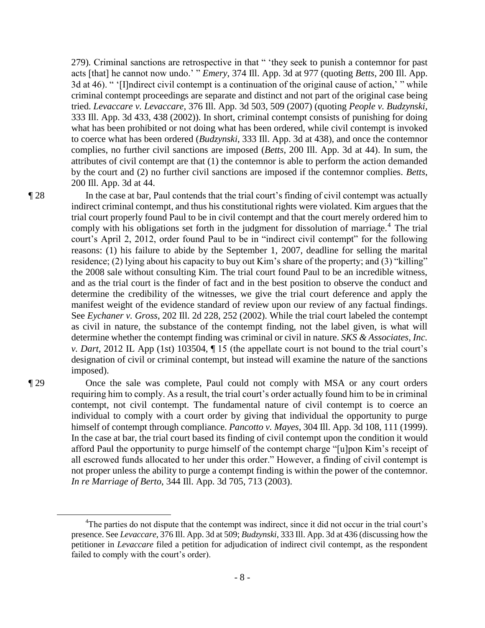279)*.* Criminal sanctions are retrospective in that " 'they seek to punish a contemnor for past acts [that] he cannot now undo.' " *Emery*, 374 Ill. App. 3d at 977 (quoting *Betts*, 200 Ill. App. 3d at 46). " '[I]ndirect civil contempt is a continuation of the original cause of action,' " while criminal contempt proceedings are separate and distinct and not part of the original case being tried. *Levaccare v. Levaccare*, 376 Ill. App. 3d 503, 509 (2007) (quoting *People v. Budzynski*, 333 Ill. App. 3d 433, 438 (2002)). In short, criminal contempt consists of punishing for doing what has been prohibited or not doing what has been ordered, while civil contempt is invoked to coerce what has been ordered (*Budzynski*, 333 Ill. App. 3d at 438), and once the contemnor complies, no further civil sanctions are imposed (*Betts*, 200 Ill. App. 3d at 44). In sum, the attributes of civil contempt are that (1) the contemnor is able to perform the action demanded by the court and (2) no further civil sanctions are imposed if the contemnor complies. *Betts*, 200 Ill. App. 3d at 44.

¶ 28 In the case at bar, Paul contends that the trial court's finding of civil contempt was actually indirect criminal contempt, and thus his constitutional rights were violated. Kim argues that the trial court properly found Paul to be in civil contempt and that the court merely ordered him to comply with his obligations set forth in the judgment for dissolution of marriage.<sup>4</sup> The trial court's April 2, 2012, order found Paul to be in "indirect civil contempt" for the following reasons: (1) his failure to abide by the September 1, 2007, deadline for selling the marital residence; (2) lying about his capacity to buy out Kim's share of the property; and (3) "killing" the 2008 sale without consulting Kim. The trial court found Paul to be an incredible witness, and as the trial court is the finder of fact and in the best position to observe the conduct and determine the credibility of the witnesses, we give the trial court deference and apply the manifest weight of the evidence standard of review upon our review of any factual findings. See *Eychaner v. Gross*, 202 Ill. 2d 228, 252 (2002). While the trial court labeled the contempt as civil in nature, the substance of the contempt finding, not the label given, is what will determine whether the contempt finding was criminal or civil in nature. *SKS & Associates, Inc. v. Dart*, 2012 IL App (1st) 103504, ¶ 15 (the appellate court is not bound to the trial court's designation of civil or criminal contempt, but instead will examine the nature of the sanctions imposed).

 $\overline{a}$ 

¶ 29 Once the sale was complete, Paul could not comply with MSA or any court orders requiring him to comply. As a result, the trial court's order actually found him to be in criminal contempt, not civil contempt. The fundamental nature of civil contempt is to coerce an individual to comply with a court order by giving that individual the opportunity to purge himself of contempt through compliance. *Pancotto v. Mayes*, 304 Ill. App. 3d 108, 111 (1999). In the case at bar, the trial court based its finding of civil contempt upon the condition it would afford Paul the opportunity to purge himself of the contempt charge "[u]pon Kim's receipt of all escrowed funds allocated to her under this order." However, a finding of civil contempt is not proper unless the ability to purge a contempt finding is within the power of the contemnor. *In re Marriage of Berto*, 344 Ill. App. 3d 705, 713 (2003).

<sup>&</sup>lt;sup>4</sup>The parties do not dispute that the contempt was indirect, since it did not occur in the trial court's presence. See *Levaccare*, 376 Ill. App. 3d at 509; *Budzynski*, 333 Ill. App. 3d at 436 (discussing how the petitioner in *Levaccare* filed a petition for adjudication of indirect civil contempt, as the respondent failed to comply with the court's order).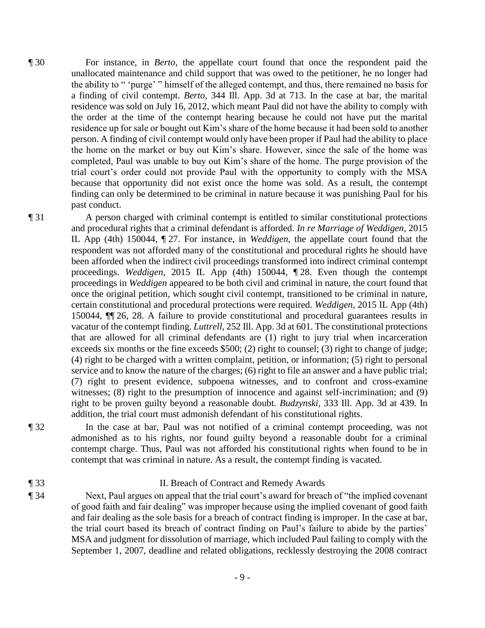¶ 30 For instance, in *Berto*, the appellate court found that once the respondent paid the unallocated maintenance and child support that was owed to the petitioner, he no longer had the ability to " 'purge' " himself of the alleged contempt, and thus, there remained no basis for a finding of civil contempt. *Berto*, 344 Ill. App. 3d at 713. In the case at bar, the marital residence was sold on July 16, 2012, which meant Paul did not have the ability to comply with the order at the time of the contempt hearing because he could not have put the marital residence up for sale or bought out Kim's share of the home because it had been sold to another person. A finding of civil contempt would only have been proper if Paul had the ability to place the home on the market or buy out Kim's share. However, since the sale of the home was completed, Paul was unable to buy out Kim's share of the home. The purge provision of the trial court's order could not provide Paul with the opportunity to comply with the MSA because that opportunity did not exist once the home was sold. As a result, the contempt finding can only be determined to be criminal in nature because it was punishing Paul for his past conduct.

¶ 31 A person charged with criminal contempt is entitled to similar constitutional protections and procedural rights that a criminal defendant is afforded. *In re Marriage of Weddigen*, 2015 IL App (4th) 150044, ¶ 27. For instance, in *Weddigen*, the appellate court found that the respondent was not afforded many of the constitutional and procedural rights he should have been afforded when the indirect civil proceedings transformed into indirect criminal contempt proceedings. *Weddigen*, 2015 IL App (4th) 150044, ¶ 28. Even though the contempt proceedings in *Weddigen* appeared to be both civil and criminal in nature, the court found that once the original petition, which sought civil contempt, transitioned to be criminal in nature, certain constitutional and procedural protections were required. *Weddigen*, 2015 IL App (4th) 150044, ¶¶ 26, 28. A failure to provide constitutional and procedural guarantees results in vacatur of the contempt finding. *Luttrell*, 252 Ill. App. 3d at 601. The constitutional protections that are allowed for all criminal defendants are (1) right to jury trial when incarceration exceeds six months or the fine exceeds \$500; (2) right to counsel; (3) right to change of judge; (4) right to be charged with a written complaint, petition, or information; (5) right to personal service and to know the nature of the charges; (6) right to file an answer and a have public trial; (7) right to present evidence, subpoena witnesses, and to confront and cross-examine witnesses; (8) right to the presumption of innocence and against self-incrimination; and (9) right to be proven guilty beyond a reasonable doubt. *Budzynski*, 333 Ill. App. 3d at 439. In addition, the trial court must admonish defendant of his constitutional rights.

¶ 32 In the case at bar, Paul was not notified of a criminal contempt proceeding, was not admonished as to his rights, nor found guilty beyond a reasonable doubt for a criminal contempt charge. Thus, Paul was not afforded his constitutional rights when found to be in contempt that was criminal in nature. As a result, the contempt finding is vacated.

- ¶ 33 II. Breach of Contract and Remedy Awards
- ¶ 34 Next, Paul argues on appeal that the trial court's award for breach of "the implied covenant of good faith and fair dealing" was improper because using the implied covenant of good faith and fair dealing as the sole basis for a breach of contract finding is improper. In the case at bar, the trial court based its breach of contract finding on Paul's failure to abide by the parties' MSA and judgment for dissolution of marriage, which included Paul failing to comply with the September 1, 2007, deadline and related obligations, recklessly destroying the 2008 contract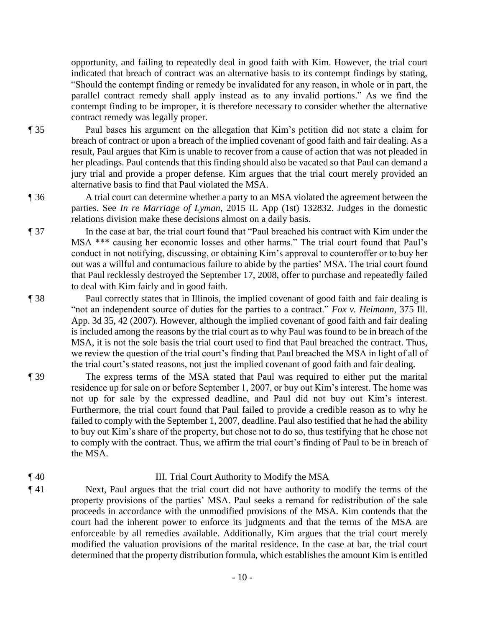opportunity, and failing to repeatedly deal in good faith with Kim. However, the trial court indicated that breach of contract was an alternative basis to its contempt findings by stating, "Should the contempt finding or remedy be invalidated for any reason, in whole or in part, the parallel contract remedy shall apply instead as to any invalid portions." As we find the contempt finding to be improper, it is therefore necessary to consider whether the alternative contract remedy was legally proper.

- ¶ 35 Paul bases his argument on the allegation that Kim's petition did not state a claim for breach of contract or upon a breach of the implied covenant of good faith and fair dealing. As a result, Paul argues that Kim is unable to recover from a cause of action that was not pleaded in her pleadings. Paul contends that this finding should also be vacated so that Paul can demand a jury trial and provide a proper defense. Kim argues that the trial court merely provided an alternative basis to find that Paul violated the MSA.
- ¶ 36 A trial court can determine whether a party to an MSA violated the agreement between the parties. See *In re Marriage of Lyman*, 2015 IL App (1st) 132832. Judges in the domestic relations division make these decisions almost on a daily basis.
- ¶ 37 In the case at bar, the trial court found that "Paul breached his contract with Kim under the MSA \*\*\* causing her economic losses and other harms." The trial court found that Paul's conduct in not notifying, discussing, or obtaining Kim's approval to counteroffer or to buy her out was a willful and contumacious failure to abide by the parties' MSA. The trial court found that Paul recklessly destroyed the September 17, 2008, offer to purchase and repeatedly failed to deal with Kim fairly and in good faith.
- ¶ 38 Paul correctly states that in Illinois, the implied covenant of good faith and fair dealing is "not an independent source of duties for the parties to a contract." *Fox v. Heimann*, 375 Ill. App. 3d 35, 42 (2007). However, although the implied covenant of good faith and fair dealing is included among the reasons by the trial court as to why Paul was found to be in breach of the MSA, it is not the sole basis the trial court used to find that Paul breached the contract. Thus, we review the question of the trial court's finding that Paul breached the MSA in light of all of the trial court's stated reasons, not just the implied covenant of good faith and fair dealing.
- ¶ 39 The express terms of the MSA stated that Paul was required to either put the marital residence up for sale on or before September 1, 2007, or buy out Kim's interest. The home was not up for sale by the expressed deadline, and Paul did not buy out Kim's interest. Furthermore, the trial court found that Paul failed to provide a credible reason as to why he failed to comply with the September 1, 2007, deadline. Paul also testified that he had the ability to buy out Kim's share of the property, but chose not to do so, thus testifying that he chose not to comply with the contract. Thus, we affirm the trial court's finding of Paul to be in breach of the MSA.

# ¶ 40 III. Trial Court Authority to Modify the MSA

¶ 41 Next, Paul argues that the trial court did not have authority to modify the terms of the property provisions of the parties' MSA. Paul seeks a remand for redistribution of the sale proceeds in accordance with the unmodified provisions of the MSA. Kim contends that the court had the inherent power to enforce its judgments and that the terms of the MSA are enforceable by all remedies available. Additionally, Kim argues that the trial court merely modified the valuation provisions of the marital residence. In the case at bar, the trial court determined that the property distribution formula, which establishes the amount Kim is entitled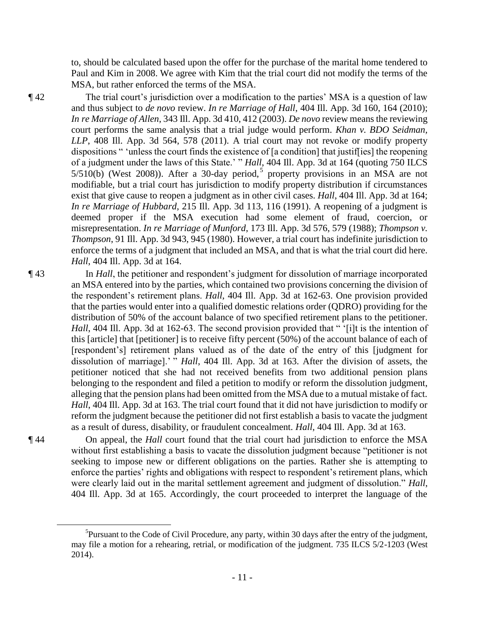to, should be calculated based upon the offer for the purchase of the marital home tendered to Paul and Kim in 2008. We agree with Kim that the trial court did not modify the terms of the MSA, but rather enforced the terms of the MSA.

¶ 42 The trial court's jurisdiction over a modification to the parties' MSA is a question of law and thus subject to *de novo* review. *In re Marriage of Hall*, 404 Ill. App. 3d 160, 164 (2010); *In re Marriage of Allen*, 343 Ill. App. 3d 410, 412 (2003). *De novo* review means the reviewing court performs the same analysis that a trial judge would perform. *Khan v. BDO Seidman, LLP*, 408 Ill. App. 3d 564, 578 (2011). A trial court may not revoke or modify property dispositions " 'unless the court finds the existence of [a condition] that justif[ies] the reopening of a judgment under the laws of this State.' " *Hall*, 404 Ill. App. 3d at 164 (quoting 750 ILCS  $5/510(b)$  (West 2008)). After a 30-day period,<sup>5</sup> property provisions in an MSA are not modifiable, but a trial court has jurisdiction to modify property distribution if circumstances exist that give cause to reopen a judgment as in other civil cases. *Hall*, 404 Ill. App. 3d at 164; *In re Marriage of Hubbard*, 215 Ill. App. 3d 113, 116 (1991). A reopening of a judgment is deemed proper if the MSA execution had some element of fraud, coercion, or misrepresentation. *In re Marriage of Munford*, 173 Ill. App. 3d 576, 579 (1988); *Thompson v. Thompson*, 91 Ill. App. 3d 943, 945 (1980). However, a trial court has indefinite jurisdiction to enforce the terms of a judgment that included an MSA, and that is what the trial court did here. *Hall*, 404 Ill. App. 3d at 164.

¶ 43 In *Hall*, the petitioner and respondent's judgment for dissolution of marriage incorporated an MSA entered into by the parties, which contained two provisions concerning the division of the respondent's retirement plans. *Hall*, 404 Ill. App. 3d at 162-63. One provision provided that the parties would enter into a qualified domestic relations order (QDRO) providing for the distribution of 50% of the account balance of two specified retirement plans to the petitioner. *Hall*, 404 Ill. App. 3d at 162-63. The second provision provided that " '[i]t is the intention of this [article] that [petitioner] is to receive fifty percent (50%) of the account balance of each of [respondent's] retirement plans valued as of the date of the entry of this [judgment for dissolution of marriage].' " *Hall*, 404 Ill. App. 3d at 163. After the division of assets, the petitioner noticed that she had not received benefits from two additional pension plans belonging to the respondent and filed a petition to modify or reform the dissolution judgment, alleging that the pension plans had been omitted from the MSA due to a mutual mistake of fact. *Hall*, 404 Ill. App. 3d at 163. The trial court found that it did not have jurisdiction to modify or reform the judgment because the petitioner did not first establish a basis to vacate the judgment as a result of duress, disability, or fraudulent concealment. *Hall*, 404 Ill. App. 3d at 163.

 $\overline{a}$ 

¶ 44 On appeal, the *Hall* court found that the trial court had jurisdiction to enforce the MSA without first establishing a basis to vacate the dissolution judgment because "petitioner is not seeking to impose new or different obligations on the parties. Rather she is attempting to enforce the parties' rights and obligations with respect to respondent's retirement plans, which were clearly laid out in the marital settlement agreement and judgment of dissolution." *Hall*, 404 Ill. App. 3d at 165. Accordingly, the court proceeded to interpret the language of the

<sup>&</sup>lt;sup>5</sup>Pursuant to the Code of Civil Procedure, any party, within 30 days after the entry of the judgment, may file a motion for a rehearing, retrial, or modification of the judgment. 735 ILCS 5/2-1203 (West 2014).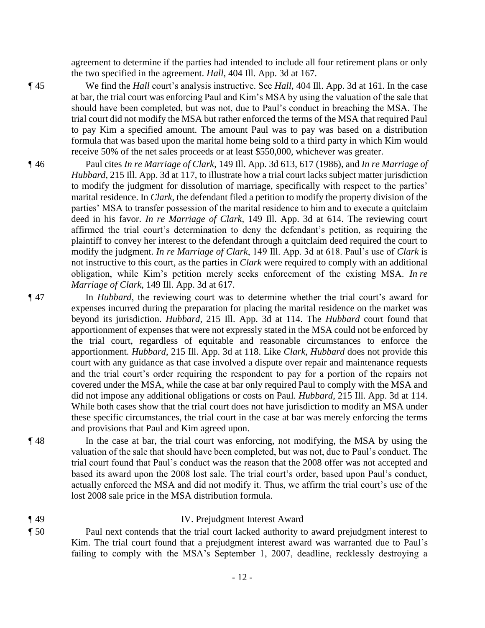agreement to determine if the parties had intended to include all four retirement plans or only the two specified in the agreement. *Hall*, 404 Ill. App. 3d at 167.

¶ 45 We find the *Hall* court's analysis instructive. See *Hall*, 404 Ill. App. 3d at 161. In the case at bar, the trial court was enforcing Paul and Kim's MSA by using the valuation of the sale that should have been completed, but was not, due to Paul's conduct in breaching the MSA. The trial court did not modify the MSA but rather enforced the terms of the MSA that required Paul to pay Kim a specified amount. The amount Paul was to pay was based on a distribution formula that was based upon the marital home being sold to a third party in which Kim would receive 50% of the net sales proceeds or at least \$550,000, whichever was greater.

- ¶ 46 Paul cites *In re Marriage of Clark*, 149 Ill. App. 3d 613, 617 (1986), and *In re Marriage of Hubbard*, 215 Ill. App. 3d at 117, to illustrate how a trial court lacks subject matter jurisdiction to modify the judgment for dissolution of marriage, specifically with respect to the parties' marital residence. In *Clark*, the defendant filed a petition to modify the property division of the parties' MSA to transfer possession of the marital residence to him and to execute a quitclaim deed in his favor. *In re Marriage of Clark*, 149 Ill. App. 3d at 614. The reviewing court affirmed the trial court's determination to deny the defendant's petition, as requiring the plaintiff to convey her interest to the defendant through a quitclaim deed required the court to modify the judgment. *In re Marriage of Clark*, 149 Ill. App. 3d at 618. Paul's use of *Clark* is not instructive to this court, as the parties in *Clark* were required to comply with an additional obligation, while Kim's petition merely seeks enforcement of the existing MSA. *In re Marriage of Clark*, 149 Ill. App. 3d at 617.
- ¶ 47 In *Hubbard*, the reviewing court was to determine whether the trial court's award for expenses incurred during the preparation for placing the marital residence on the market was beyond its jurisdiction. *Hubbard*, 215 Ill. App. 3d at 114. The *Hubbard* court found that apportionment of expenses that were not expressly stated in the MSA could not be enforced by the trial court, regardless of equitable and reasonable circumstances to enforce the apportionment. *Hubbard*, 215 Ill. App. 3d at 118. Like *Clark*, *Hubbard* does not provide this court with any guidance as that case involved a dispute over repair and maintenance requests and the trial court's order requiring the respondent to pay for a portion of the repairs not covered under the MSA, while the case at bar only required Paul to comply with the MSA and did not impose any additional obligations or costs on Paul. *Hubbard*, 215 Ill. App. 3d at 114. While both cases show that the trial court does not have jurisdiction to modify an MSA under these specific circumstances, the trial court in the case at bar was merely enforcing the terms and provisions that Paul and Kim agreed upon.
- ¶ 48 In the case at bar, the trial court was enforcing, not modifying, the MSA by using the valuation of the sale that should have been completed, but was not, due to Paul's conduct. The trial court found that Paul's conduct was the reason that the 2008 offer was not accepted and based its award upon the 2008 lost sale. The trial court's order, based upon Paul's conduct, actually enforced the MSA and did not modify it. Thus, we affirm the trial court's use of the lost 2008 sale price in the MSA distribution formula.

# ¶ 49 IV. Prejudgment Interest Award

¶ 50 Paul next contends that the trial court lacked authority to award prejudgment interest to Kim. The trial court found that a prejudgment interest award was warranted due to Paul's failing to comply with the MSA's September 1, 2007, deadline, recklessly destroying a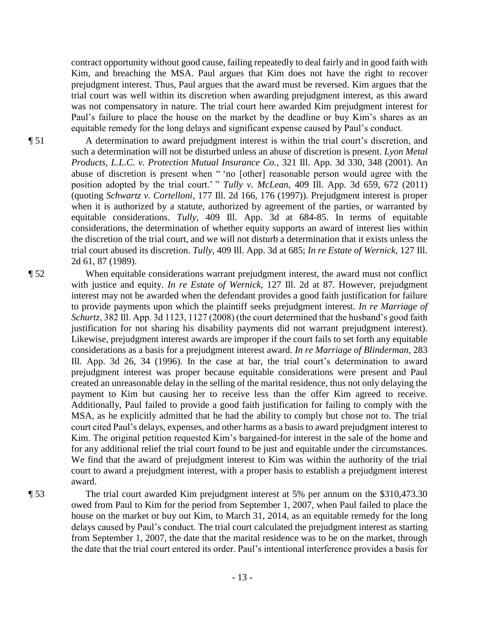contract opportunity without good cause, failing repeatedly to deal fairly and in good faith with Kim, and breaching the MSA. Paul argues that Kim does not have the right to recover prejudgment interest. Thus, Paul argues that the award must be reversed. Kim argues that the trial court was well within its discretion when awarding prejudgment interest, as this award was not compensatory in nature. The trial court here awarded Kim prejudgment interest for Paul's failure to place the house on the market by the deadline or buy Kim's shares as an equitable remedy for the long delays and significant expense caused by Paul's conduct.

¶ 51 A determination to award prejudgment interest is within the trial court's discretion, and such a determination will not be disturbed unless an abuse of discretion is present. *Lyon Metal Products, L.L.C. v. Protection Mutual Insurance Co.*, 321 Ill. App. 3d 330, 348 (2001). An abuse of discretion is present when " 'no [other] reasonable person would agree with the position adopted by the trial court.' " *Tully v. McLean*, 409 Ill. App. 3d 659, 672 (2011) (quoting *Schwartz v. Cortelloni*, 177 Ill. 2d 166, 176 (1997)). Prejudgment interest is proper when it is authorized by a statute, authorized by agreement of the parties, or warranted by equitable considerations. *Tully*, 409 Ill. App. 3d at 684-85. In terms of equitable considerations, the determination of whether equity supports an award of interest lies within the discretion of the trial court, and we will not disturb a determination that it exists unless the trial court abused its discretion. *Tully*, 409 Ill. App. 3d at 685; *In re Estate of Wernick*, 127 Ill. 2d 61, 87 (1989).

¶ 52 When equitable considerations warrant prejudgment interest, the award must not conflict with justice and equity. *In re Estate of Wernick*, 127 Ill. 2d at 87. However, prejudgment interest may not be awarded when the defendant provides a good faith justification for failure to provide payments upon which the plaintiff seeks prejudgment interest. *In re Marriage of Schurtz*, 382 Ill. App. 3d 1123, 1127 (2008) (the court determined that the husband's good faith justification for not sharing his disability payments did not warrant prejudgment interest). Likewise, prejudgment interest awards are improper if the court fails to set forth any equitable considerations as a basis for a prejudgment interest award. *In re Marriage of Blinderman*, 283 Ill. App. 3d 26, 34 (1996). In the case at bar, the trial court's determination to award prejudgment interest was proper because equitable considerations were present and Paul created an unreasonable delay in the selling of the marital residence, thus not only delaying the payment to Kim but causing her to receive less than the offer Kim agreed to receive. Additionally, Paul failed to provide a good faith justification for failing to comply with the MSA, as he explicitly admitted that he had the ability to comply but chose not to. The trial court cited Paul's delays, expenses, and other harms as a basis to award prejudgment interest to Kim. The original petition requested Kim's bargained-for interest in the sale of the home and for any additional relief the trial court found to be just and equitable under the circumstances. We find that the award of prejudgment interest to Kim was within the authority of the trial court to award a prejudgment interest, with a proper basis to establish a prejudgment interest award.

¶ 53 The trial court awarded Kim prejudgment interest at 5% per annum on the \$310,473.30 owed from Paul to Kim for the period from September 1, 2007, when Paul failed to place the house on the market or buy out Kim, to March 31, 2014, as an equitable remedy for the long delays caused by Paul's conduct. The trial court calculated the prejudgment interest as starting from September 1, 2007, the date that the marital residence was to be on the market, through the date that the trial court entered its order. Paul's intentional interference provides a basis for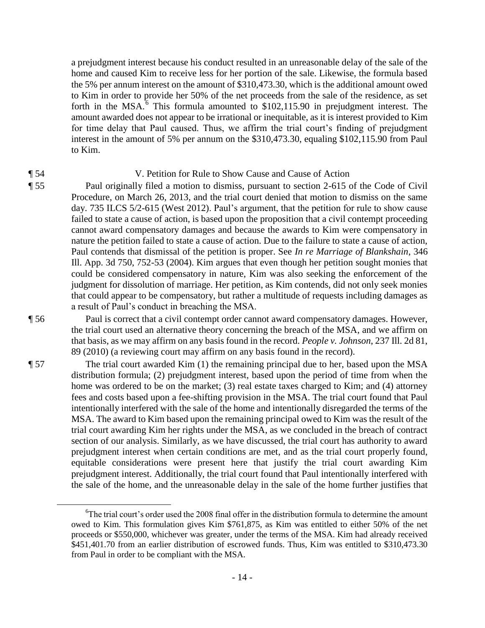a prejudgment interest because his conduct resulted in an unreasonable delay of the sale of the home and caused Kim to receive less for her portion of the sale. Likewise, the formula based the 5% per annum interest on the amount of \$310,473.30, which is the additional amount owed to Kim in order to provide her 50% of the net proceeds from the sale of the residence, as set forth in the MSA. $\frac{1}{6}$  This formula amounted to \$102,115.90 in prejudgment interest. The amount awarded does not appear to be irrational or inequitable, as it is interest provided to Kim for time delay that Paul caused. Thus, we affirm the trial court's finding of prejudgment interest in the amount of 5% per annum on the \$310,473.30, equaling \$102,115.90 from Paul to Kim.

### ¶ 54 V. Petition for Rule to Show Cause and Cause of Action

¶ 55 Paul originally filed a motion to dismiss, pursuant to section 2-615 of the Code of Civil Procedure, on March 26, 2013, and the trial court denied that motion to dismiss on the same day. 735 ILCS 5/2-615 (West 2012). Paul's argument, that the petition for rule to show cause failed to state a cause of action, is based upon the proposition that a civil contempt proceeding cannot award compensatory damages and because the awards to Kim were compensatory in nature the petition failed to state a cause of action. Due to the failure to state a cause of action, Paul contends that dismissal of the petition is proper. See *In re Marriage of Blankshain*, 346 Ill. App. 3d 750, 752-53 (2004). Kim argues that even though her petition sought monies that could be considered compensatory in nature, Kim was also seeking the enforcement of the judgment for dissolution of marriage. Her petition, as Kim contends, did not only seek monies that could appear to be compensatory, but rather a multitude of requests including damages as a result of Paul's conduct in breaching the MSA.

 $\overline{a}$ 

¶ 56 Paul is correct that a civil contempt order cannot award compensatory damages. However, the trial court used an alternative theory concerning the breach of the MSA, and we affirm on that basis, as we may affirm on any basis found in the record. *People v. Johnson*, 237 Ill. 2d 81, 89 (2010) (a reviewing court may affirm on any basis found in the record).

¶ 57 The trial court awarded Kim (1) the remaining principal due to her, based upon the MSA distribution formula; (2) prejudgment interest, based upon the period of time from when the home was ordered to be on the market; (3) real estate taxes charged to Kim; and (4) attorney fees and costs based upon a fee-shifting provision in the MSA. The trial court found that Paul intentionally interfered with the sale of the home and intentionally disregarded the terms of the MSA. The award to Kim based upon the remaining principal owed to Kim was the result of the trial court awarding Kim her rights under the MSA, as we concluded in the breach of contract section of our analysis. Similarly, as we have discussed, the trial court has authority to award prejudgment interest when certain conditions are met, and as the trial court properly found, equitable considerations were present here that justify the trial court awarding Kim prejudgment interest. Additionally, the trial court found that Paul intentionally interfered with the sale of the home, and the unreasonable delay in the sale of the home further justifies that

<sup>&</sup>lt;sup>6</sup>The trial court's order used the 2008 final offer in the distribution formula to determine the amount owed to Kim. This formulation gives Kim \$761,875, as Kim was entitled to either 50% of the net proceeds or \$550,000, whichever was greater, under the terms of the MSA. Kim had already received \$451,401.70 from an earlier distribution of escrowed funds. Thus, Kim was entitled to \$310,473.30 from Paul in order to be compliant with the MSA.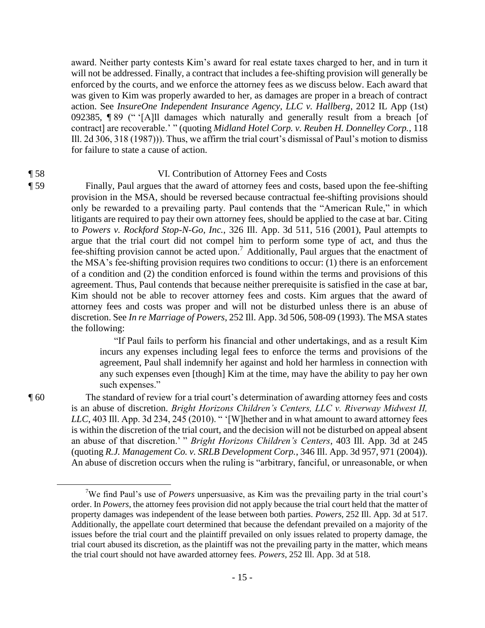award. Neither party contests Kim's award for real estate taxes charged to her, and in turn it will not be addressed. Finally, a contract that includes a fee-shifting provision will generally be enforced by the courts, and we enforce the attorney fees as we discuss below. Each award that was given to Kim was properly awarded to her, as damages are proper in a breach of contract action. See *InsureOne Independent Insurance Agency, LLC v. Hallberg*, 2012 IL App (1st) 092385, ¶ 89 (" '[A]ll damages which naturally and generally result from a breach [of contract] are recoverable.' " (quoting *Midland Hotel Corp. v. Reuben H. Donnelley Corp.*, 118 Ill. 2d 306, 318 (1987))). Thus, we affirm the trial court's dismissal of Paul's motion to dismiss for failure to state a cause of action.

# ¶ 58 VI. Contribution of Attorney Fees and Costs

¶ 59 Finally, Paul argues that the award of attorney fees and costs, based upon the fee-shifting provision in the MSA, should be reversed because contractual fee-shifting provisions should only be rewarded to a prevailing party. Paul contends that the "American Rule," in which litigants are required to pay their own attorney fees, should be applied to the case at bar. Citing to *Powers v. Rockford Stop-N-Go, Inc.*, 326 Ill. App. 3d 511, 516 (2001), Paul attempts to argue that the trial court did not compel him to perform some type of act, and thus the fee-shifting provision cannot be acted upon.<sup>7</sup> Additionally, Paul argues that the enactment of the MSA's fee-shifting provision requires two conditions to occur: (1) there is an enforcement of a condition and (2) the condition enforced is found within the terms and provisions of this agreement. Thus, Paul contends that because neither prerequisite is satisfied in the case at bar, Kim should not be able to recover attorney fees and costs. Kim argues that the award of attorney fees and costs was proper and will not be disturbed unless there is an abuse of discretion. See *In re Marriage of Powers*, 252 Ill. App. 3d 506, 508-09 (1993). The MSA states the following:

> "If Paul fails to perform his financial and other undertakings, and as a result Kim incurs any expenses including legal fees to enforce the terms and provisions of the agreement, Paul shall indemnify her against and hold her harmless in connection with any such expenses even [though] Kim at the time, may have the ability to pay her own such expenses."

 $\overline{a}$ 

¶ 60 The standard of review for a trial court's determination of awarding attorney fees and costs is an abuse of discretion. *Bright Horizons Children's Centers, LLC v. Riverway Midwest II, LLC*, 403 Ill. App. 3d 234, 245 (2010). " '[W]hether and in what amount to award attorney fees is within the discretion of the trial court, and the decision will not be disturbed on appeal absent an abuse of that discretion.' " *Bright Horizons Children's Centers*, 403 Ill. App. 3d at 245 (quoting *R.J. Management Co. v. SRLB Development Corp.*, 346 Ill. App. 3d 957, 971 (2004)). An abuse of discretion occurs when the ruling is "arbitrary, fanciful, or unreasonable, or when

<sup>7</sup>We find Paul's use of *Powers* unpersuasive, as Kim was the prevailing party in the trial court's order. In *Powers*, the attorney fees provision did not apply because the trial court held that the matter of property damages was independent of the lease between both parties. *Powers*, 252 Ill. App. 3d at 517. Additionally, the appellate court determined that because the defendant prevailed on a majority of the issues before the trial court and the plaintiff prevailed on only issues related to property damage, the trial court abused its discretion, as the plaintiff was not the prevailing party in the matter, which means the trial court should not have awarded attorney fees. *Powers*, 252 Ill. App. 3d at 518.